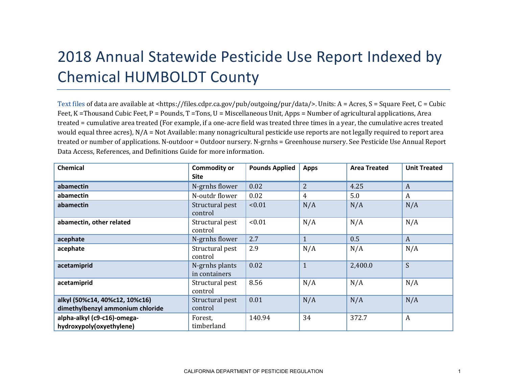## 2018 Annual Statewide Pesticide Use Report Indexed by Chemical HUMBOLDT County

[Text files](https://files.cdpr.ca.gov/pub/outgoing/pur/data/) of data are available at <https://files.cdpr.ca.gov/pub/outgoing/pur/data/>. Units: A = Acres, S = Square Feet, C = Cubic Feet, K = Thousand Cubic Feet, P = Pounds, T = Tons, U = Miscellaneous Unit, Apps = Number of agricultural applications, Area treated = cumulative area treated (For example, if a one-acre field was treated three times in a year, the cumulative acres treated would equal three acres), N/A = Not Available: many nonagricultural pesticide use reports are not legally required to report area treated or number of applications. N-outdoor = Outdoor nursery. N-grnhs = Greenhouse nursery. See Pesticide Use Annual Report Data Access, References, and Definitions Guide for more information.

| <b>Chemical</b>                  | <b>Commodity or</b><br><b>Site</b> | <b>Pounds Applied</b> | <b>Apps</b>    | <b>Area Treated</b> | <b>Unit Treated</b> |
|----------------------------------|------------------------------------|-----------------------|----------------|---------------------|---------------------|
| abamectin                        | N-grnhs flower                     | 0.02                  | $\overline{2}$ | 4.25                | A                   |
| abamectin                        | N-outdr flower                     | 0.02                  | 4              | 5.0                 | $\boldsymbol{A}$    |
| abamectin                        | Structural pest<br>control         | < 0.01                | N/A            | N/A                 | N/A                 |
| abamectin, other related         | Structural pest<br>control         | < 0.01                | N/A            | N/A                 | N/A                 |
| acephate                         | N-grnhs flower                     | 2.7                   | 1              | 0.5                 | $\boldsymbol{A}$    |
| acephate                         | Structural pest<br>control         | 2.9                   | N/A            | N/A                 | N/A                 |
| acetamiprid                      | N-grnhs plants<br>in containers    | 0.02                  | $\mathbf{1}$   | 2,400.0             | S                   |
| acetamiprid                      | Structural pest<br>control         | 8.56                  | N/A            | N/A                 | N/A                 |
| alkyl (50%c14, 40%c12, 10%c16)   | Structural pest                    | 0.01                  | N/A            | N/A                 | N/A                 |
| dimethylbenzyl ammonium chloride | control                            |                       |                |                     |                     |
| alpha-alkyl (c9-c16)-omega-      | Forest,                            | 140.94                | 34             | 372.7               | $\boldsymbol{A}$    |
| hydroxypoly(oxyethylene)         | timberland                         |                       |                |                     |                     |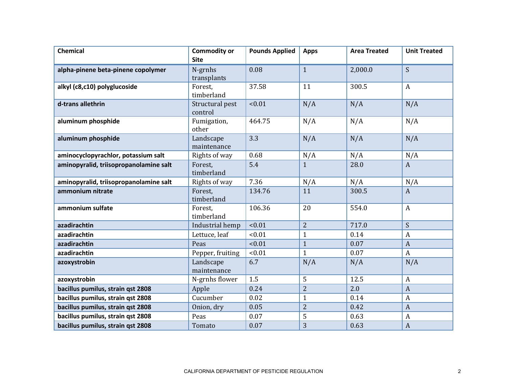| <b>Chemical</b>                        | <b>Commodity or</b><br><b>Site</b> | <b>Pounds Applied</b> | <b>Apps</b>    | <b>Area Treated</b> | <b>Unit Treated</b> |
|----------------------------------------|------------------------------------|-----------------------|----------------|---------------------|---------------------|
| alpha-pinene beta-pinene copolymer     | N-grnhs<br>transplants             | 0.08                  | $\mathbf{1}$   | 2,000.0             | S                   |
| alkyl (c8,c10) polyglucoside           | Forest,<br>timberland              | 37.58                 | 11             | 300.5               | $\boldsymbol{A}$    |
| d-trans allethrin                      | Structural pest<br>control         | < 0.01                | N/A            | N/A                 | N/A                 |
| aluminum phosphide                     | Fumigation,<br>other               | 464.75                | N/A            | N/A                 | N/A                 |
| aluminum phosphide                     | Landscape<br>maintenance           | 3.3                   | N/A            | N/A                 | N/A                 |
| aminocyclopyrachlor, potassium salt    | Rights of way                      | 0.68                  | N/A            | N/A                 | N/A                 |
| aminopyralid, triisopropanolamine salt | Forest,<br>timberland              | 5.4                   | $\mathbf{1}$   | 28.0                | $\boldsymbol{A}$    |
| aminopyralid, triisopropanolamine salt | Rights of way                      | 7.36                  | N/A            | N/A                 | N/A                 |
| ammonium nitrate                       | Forest,<br>timberland              | 134.76                | 11             | 300.5               | $\boldsymbol{A}$    |
| ammonium sulfate                       | Forest.<br>timberland              | 106.36                | 20             | 554.0               | $\overline{A}$      |
| azadirachtin                           | Industrial hemp                    | < 0.01                | $\overline{2}$ | 717.0               | S                   |
| azadirachtin                           | Lettuce, leaf                      | < 0.01                | $\mathbf{1}$   | 0.14                | A                   |
| azadirachtin                           | Peas                               | < 0.01                | $\mathbf{1}$   | 0.07                | $\boldsymbol{A}$    |
| azadirachtin                           | Pepper, fruiting                   | < 0.01                | $\mathbf{1}$   | 0.07                | $\mathbf{A}$        |
| azoxystrobin                           | Landscape<br>maintenance           | 6.7                   | N/A            | N/A                 | N/A                 |
| azoxystrobin                           | N-grnhs flower                     | 1.5                   | 5              | 12.5                | $\boldsymbol{A}$    |
| bacillus pumilus, strain qst 2808      | Apple                              | 0.24                  | $\overline{2}$ | 2.0                 | $\overline{A}$      |
| bacillus pumilus, strain qst 2808      | Cucumber                           | 0.02                  | $\mathbf{1}$   | 0.14                | $\boldsymbol{A}$    |
| bacillus pumilus, strain qst 2808      | Onion, dry                         | 0.05                  | $\overline{2}$ | 0.42                | $\overline{A}$      |
| bacillus pumilus, strain qst 2808      | Peas                               | 0.07                  | 5              | 0.63                | $\boldsymbol{A}$    |
| bacillus pumilus, strain qst 2808      | Tomato                             | 0.07                  | 3              | 0.63                | $\boldsymbol{A}$    |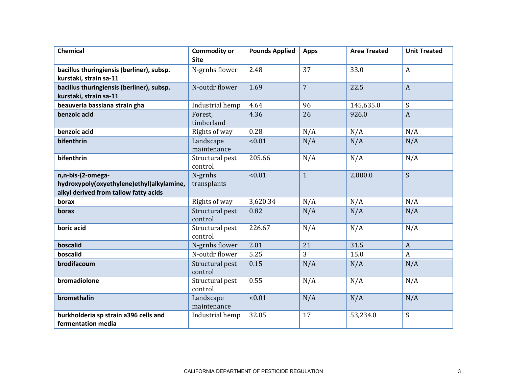| <b>Chemical</b>                                                                                         | <b>Commodity or</b><br><b>Site</b> | <b>Pounds Applied</b> | <b>Apps</b>    | <b>Area Treated</b> | <b>Unit Treated</b> |
|---------------------------------------------------------------------------------------------------------|------------------------------------|-----------------------|----------------|---------------------|---------------------|
| bacillus thuringiensis (berliner), subsp.<br>kurstaki, strain sa-11                                     | N-grnhs flower                     | 2.48                  | 37             | 33.0                | $\boldsymbol{A}$    |
| bacillus thuringiensis (berliner), subsp.<br>kurstaki, strain sa-11                                     | N-outdr flower                     | 1.69                  | $\overline{7}$ | 22.5                | $\overline{A}$      |
| beauveria bassiana strain gha                                                                           | Industrial hemp                    | 4.64                  | 96             | 145,635.0           | S                   |
| benzoic acid                                                                                            | Forest,<br>timberland              | 4.36                  | 26             | 926.0               | $\overline{A}$      |
| benzoic acid                                                                                            | Rights of way                      | 0.28                  | N/A            | N/A                 | N/A                 |
| bifenthrin                                                                                              | Landscape<br>maintenance           | < 0.01                | N/A            | N/A                 | N/A                 |
| bifenthrin                                                                                              | Structural pest<br>control         | 205.66                | N/A            | N/A                 | N/A                 |
| n,n-bis-(2-omega-<br>hydroxypoly(oxyethylene)ethyl)alkylamine,<br>alkyl derived from tallow fatty acids | N-grnhs<br>transplants             | < 0.01                | $\mathbf{1}$   | 2,000.0             | $\mathsf{S}$        |
| borax                                                                                                   | Rights of way                      | 3,620.34              | N/A            | N/A                 | N/A                 |
| borax                                                                                                   | Structural pest<br>control         | 0.82                  | N/A            | N/A                 | N/A                 |
| boric acid                                                                                              | Structural pest<br>control         | 226.67                | N/A            | N/A                 | N/A                 |
| boscalid                                                                                                | N-grnhs flower                     | 2.01                  | 21             | 31.5                | $\boldsymbol{A}$    |
| boscalid                                                                                                | N-outdr flower                     | 5.25                  | 3              | 15.0                | $\boldsymbol{A}$    |
| brodifacoum                                                                                             | Structural pest<br>control         | 0.15                  | N/A            | N/A                 | N/A                 |
| bromadiolone                                                                                            | Structural pest<br>control         | 0.55                  | N/A            | N/A                 | N/A                 |
| bromethalin                                                                                             | Landscape<br>maintenance           | < 0.01                | N/A            | N/A                 | N/A                 |
| burkholderia sp strain a396 cells and<br>fermentation media                                             | Industrial hemp                    | 32.05                 | 17             | 53,234.0            | S                   |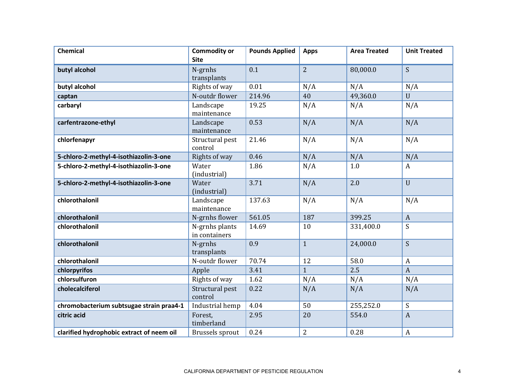| <b>Chemical</b>                           | <b>Commodity or</b><br><b>Site</b> | <b>Pounds Applied</b> | <b>Apps</b>    | <b>Area Treated</b> | <b>Unit Treated</b>       |
|-------------------------------------------|------------------------------------|-----------------------|----------------|---------------------|---------------------------|
|                                           |                                    |                       |                |                     |                           |
| butyl alcohol                             | N-grnhs                            | 0.1                   | $\overline{2}$ | 80,000.0            | S                         |
|                                           | transplants<br>Rights of way       | 0.01                  |                |                     |                           |
| butyl alcohol                             |                                    |                       | N/A            | N/A                 | N/A                       |
| captan                                    | N-outdr flower                     | 214.96                | 40             | 49,360.0            | $\mathbf{U}$              |
| carbaryl                                  | Landscape<br>maintenance           | 19.25                 | N/A            | N/A                 | N/A                       |
| carfentrazone-ethyl                       | Landscape<br>maintenance           | 0.53                  | N/A            | N/A                 | N/A                       |
| chlorfenapyr                              | Structural pest<br>control         | 21.46                 | N/A            | N/A                 | N/A                       |
| 5-chloro-2-methyl-4-isothiazolin-3-one    | Rights of way                      | 0.46                  | N/A            | N/A                 | N/A                       |
| 5-chloro-2-methyl-4-isothiazolin-3-one    | Water<br>(industrial)              | 1.86                  | N/A            | 1.0                 | $\boldsymbol{A}$          |
| 5-chloro-2-methyl-4-isothiazolin-3-one    | Water<br>(industrial)              | 3.71                  | N/A            | 2.0                 | $\overline{U}$            |
| chlorothalonil                            | Landscape<br>maintenance           | 137.63                | N/A            | N/A                 | N/A                       |
| chlorothalonil                            | N-grnhs flower                     | 561.05                | 187            | 399.25              | $\boldsymbol{A}$          |
| chlorothalonil                            | N-grnhs plants<br>in containers    | 14.69                 | 10             | 331,400.0           | S                         |
| chlorothalonil                            | N-grnhs<br>transplants             | 0.9                   | $\mathbf{1}$   | 24,000.0            | S                         |
| chlorothalonil                            | N-outdr flower                     | 70.74                 | 12             | 58.0                | $\boldsymbol{A}$          |
| chlorpyrifos                              | Apple                              | 3.41                  | $\mathbf{1}$   | 2.5                 | $\boldsymbol{A}$          |
| chlorsulfuron                             | Rights of way                      | 1.62                  | N/A            | N/A                 | N/A                       |
| cholecalciferol                           | Structural pest<br>control         | 0.22                  | N/A            | N/A                 | N/A                       |
| chromobacterium subtsugae strain praa4-1  | Industrial hemp                    | 4.04                  | 50             | 255,252.0           | $\boldsymbol{\mathsf{S}}$ |
| citric acid                               | Forest,<br>timberland              | 2.95                  | 20             | 554.0               | $\boldsymbol{A}$          |
| clarified hydrophobic extract of neem oil | <b>Brussels</b> sprout             | 0.24                  | $\overline{2}$ | 0.28                | $\boldsymbol{A}$          |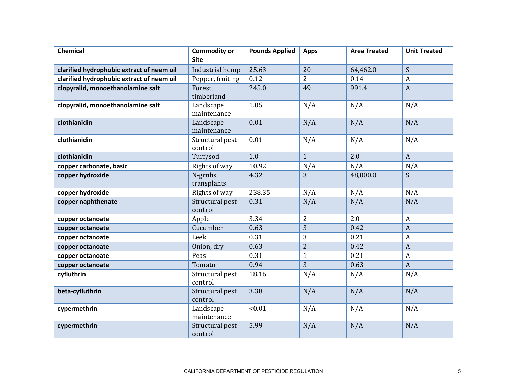| <b>Chemical</b>                           | <b>Commodity or</b><br><b>Site</b> | <b>Pounds Applied</b> | <b>Apps</b>    | <b>Area Treated</b> | <b>Unit Treated</b> |
|-------------------------------------------|------------------------------------|-----------------------|----------------|---------------------|---------------------|
| clarified hydrophobic extract of neem oil | Industrial hemp                    | 25.63                 | 20             | 64,462.0            | S                   |
| clarified hydrophobic extract of neem oil | Pepper, fruiting                   | 0.12                  | $\overline{2}$ | 0.14                | $\boldsymbol{A}$    |
| clopyralid, monoethanolamine salt         | Forest,<br>timberland              | 245.0                 | 49             | 991.4               | $\boldsymbol{A}$    |
| clopyralid, monoethanolamine salt         | Landscape<br>maintenance           | 1.05                  | N/A            | N/A                 | N/A                 |
| clothianidin                              | Landscape<br>maintenance           | 0.01                  | N/A            | N/A                 | N/A                 |
| clothianidin                              | Structural pest<br>control         | 0.01                  | N/A            | N/A                 | N/A                 |
| clothianidin                              | Turf/sod                           | 1.0                   | $\mathbf{1}$   | 2.0                 | $\mathbf{A}$        |
| copper carbonate, basic                   | Rights of way                      | 10.92                 | N/A            | N/A                 | N/A                 |
| copper hydroxide                          | N-grnhs<br>transplants             | 4.32                  | 3              | 48,000.0            | S                   |
| copper hydroxide                          | Rights of way                      | 238.35                | N/A            | N/A                 | N/A                 |
| copper naphthenate                        | Structural pest<br>control         | 0.31                  | N/A            | N/A                 | N/A                 |
| copper octanoate                          | Apple                              | 3.34                  | $\overline{2}$ | 2.0                 | $\boldsymbol{A}$    |
| copper octanoate                          | Cucumber                           | 0.63                  | 3              | 0.42                | $\boldsymbol{A}$    |
| copper octanoate                          | Leek                               | 0.31                  | 3              | 0.21                | $\boldsymbol{A}$    |
| copper octanoate                          | Onion, dry                         | 0.63                  | $\overline{2}$ | 0.42                | $\boldsymbol{A}$    |
| copper octanoate                          | Peas                               | 0.31                  | $\mathbf{1}$   | 0.21                | $\boldsymbol{A}$    |
| copper octanoate                          | Tomato                             | 0.94                  | 3              | 0.63                | $\overline{A}$      |
| cyfluthrin                                | Structural pest<br>control         | 18.16                 | N/A            | N/A                 | N/A                 |
| beta-cyfluthrin                           | Structural pest<br>control         | 3.38                  | N/A            | N/A                 | N/A                 |
| cypermethrin                              | Landscape<br>maintenance           | < 0.01                | N/A            | N/A                 | N/A                 |
| cypermethrin                              | Structural pest<br>control         | 5.99                  | N/A            | N/A                 | N/A                 |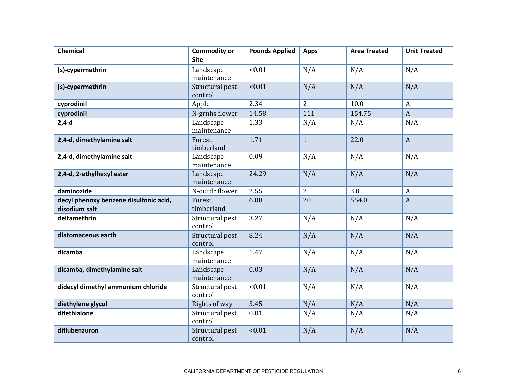| <b>Chemical</b>                                         | <b>Commodity or</b><br><b>Site</b> | <b>Pounds Applied</b> | <b>Apps</b>    | <b>Area Treated</b> | <b>Unit Treated</b> |
|---------------------------------------------------------|------------------------------------|-----------------------|----------------|---------------------|---------------------|
| (s)-cypermethrin                                        | Landscape<br>maintenance           | < 0.01                | N/A            | N/A                 | N/A                 |
| (s)-cypermethrin                                        | Structural pest<br>control         | < 0.01                | N/A            | N/A                 | N/A                 |
| cyprodinil                                              | Apple                              | 2.34                  | $\overline{2}$ | 10.0                | $\boldsymbol{A}$    |
| cyprodinil                                              | N-grnhs flower                     | 14.58                 | 111            | 154.75              | $\boldsymbol{A}$    |
| $2,4-d$                                                 | Landscape<br>maintenance           | 1.33                  | N/A            | N/A                 | N/A                 |
| 2,4-d, dimethylamine salt                               | Forest.<br>timberland              | 1.71                  | $\mathbf{1}$   | 22.0                | $\boldsymbol{A}$    |
| 2,4-d, dimethylamine salt                               | Landscape<br>maintenance           | 0.09                  | N/A            | N/A                 | N/A                 |
| 2,4-d, 2-ethylhexyl ester                               | Landscape<br>maintenance           | 24.29                 | N/A            | N/A                 | N/A                 |
| daminozide                                              | N-outdr flower                     | 2.55                  | $\overline{2}$ | 3.0                 | $\boldsymbol{A}$    |
| decyl phenoxy benzene disulfonic acid,<br>disodium salt | Forest,<br>timberland              | 6.08                  | 20             | 554.0               | $\overline{A}$      |
| deltamethrin                                            | Structural pest<br>control         | 3.27                  | N/A            | N/A                 | N/A                 |
| diatomaceous earth                                      | Structural pest<br>control         | 8.24                  | N/A            | N/A                 | N/A                 |
| dicamba                                                 | Landscape<br>maintenance           | 1.47                  | N/A            | N/A                 | N/A                 |
| dicamba, dimethylamine salt                             | Landscape<br>maintenance           | 0.03                  | N/A            | N/A                 | N/A                 |
| didecyl dimethyl ammonium chloride                      | Structural pest<br>control         | < 0.01                | N/A            | N/A                 | N/A                 |
| diethylene glycol                                       | Rights of way                      | 3.45                  | N/A            | N/A                 | N/A                 |
| difethialone                                            | Structural pest<br>control         | 0.01                  | N/A            | N/A                 | N/A                 |
| diflubenzuron                                           | Structural pest<br>control         | < 0.01                | N/A            | N/A                 | N/A                 |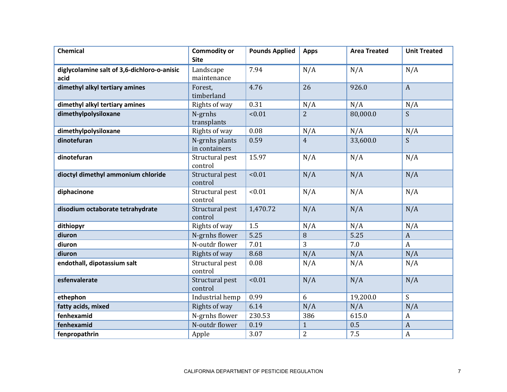| <b>Chemical</b>                                     | <b>Commodity or</b><br><b>Site</b> | <b>Pounds Applied</b> | <b>Apps</b>    | <b>Area Treated</b> | <b>Unit Treated</b> |
|-----------------------------------------------------|------------------------------------|-----------------------|----------------|---------------------|---------------------|
| diglycolamine salt of 3,6-dichloro-o-anisic<br>acid | Landscape<br>maintenance           | 7.94                  | N/A            | N/A                 | N/A                 |
| dimethyl alkyl tertiary amines                      | Forest,<br>timberland              | 4.76                  | 26             | 926.0               | $\boldsymbol{A}$    |
| dimethyl alkyl tertiary amines                      | Rights of way                      | 0.31                  | N/A            | N/A                 | N/A                 |
| dimethylpolysiloxane                                | N-grnhs<br>transplants             | < 0.01                | $\overline{2}$ | 80,000.0            | S                   |
| dimethylpolysiloxane                                | Rights of way                      | 0.08                  | N/A            | N/A                 | N/A                 |
| dinotefuran                                         | N-grnhs plants<br>in containers    | 0.59                  | $\overline{4}$ | 33,600.0            | S                   |
| dinotefuran                                         | Structural pest<br>control         | 15.97                 | N/A            | N/A                 | N/A                 |
| dioctyl dimethyl ammonium chloride                  | Structural pest<br>control         | < 0.01                | N/A            | N/A                 | N/A                 |
| diphacinone                                         | Structural pest<br>control         | < 0.01                | N/A            | N/A                 | N/A                 |
| disodium octaborate tetrahydrate                    | Structural pest<br>control         | 1,470.72              | N/A            | N/A                 | N/A                 |
| dithiopyr                                           | Rights of way                      | 1.5                   | N/A            | N/A                 | N/A                 |
| diuron                                              | N-grnhs flower                     | 5.25                  | 8              | 5.25                | $\boldsymbol{A}$    |
| diuron                                              | N-outdr flower                     | 7.01                  | 3              | 7.0                 | $\boldsymbol{A}$    |
| diuron                                              | Rights of way                      | 8.68                  | N/A            | N/A                 | N/A                 |
| endothall, dipotassium salt                         | Structural pest<br>control         | 0.08                  | N/A            | N/A                 | N/A                 |
| esfenvalerate                                       | Structural pest<br>control         | < 0.01                | N/A            | N/A                 | N/A                 |
| ethephon                                            | Industrial hemp                    | 0.99                  | 6              | 19,200.0            | S                   |
| fatty acids, mixed                                  | Rights of way                      | 6.14                  | N/A            | N/A                 | N/A                 |
| fenhexamid                                          | N-grnhs flower                     | 230.53                | 386            | 615.0               | $\boldsymbol{A}$    |
| fenhexamid                                          | N-outdr flower                     | 0.19                  | $\mathbf{1}$   | 0.5                 | $\boldsymbol{A}$    |
| fenpropathrin                                       | Apple                              | 3.07                  | $\overline{2}$ | 7.5                 | $\boldsymbol{A}$    |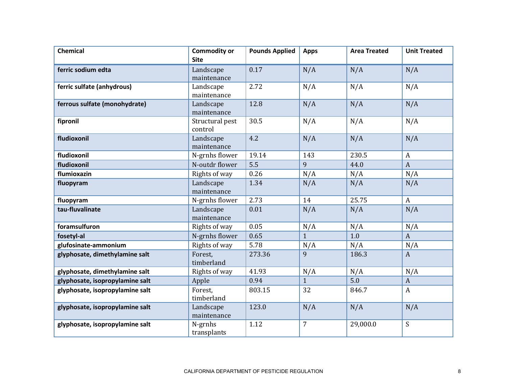| <b>Chemical</b>                 | <b>Commodity or</b><br><b>Site</b> | <b>Pounds Applied</b> | <b>Apps</b>  | <b>Area Treated</b> | <b>Unit Treated</b>       |
|---------------------------------|------------------------------------|-----------------------|--------------|---------------------|---------------------------|
| ferric sodium edta              |                                    | 0.17                  |              | N/A                 |                           |
|                                 | Landscape<br>maintenance           |                       | N/A          |                     | N/A                       |
| ferric sulfate (anhydrous)      | Landscape                          | 2.72                  | N/A          | N/A                 | N/A                       |
|                                 | maintenance                        |                       |              |                     |                           |
| ferrous sulfate (monohydrate)   | Landscape<br>maintenance           | 12.8                  | N/A          | N/A                 | N/A                       |
| fipronil                        | Structural pest<br>control         | 30.5                  | N/A          | N/A                 | N/A                       |
| fludioxonil                     | Landscape<br>maintenance           | 4.2                   | N/A          | N/A                 | N/A                       |
| fludioxonil                     | N-grnhs flower                     | 19.14                 | 143          | 230.5               | $\boldsymbol{A}$          |
| fludioxonil                     | N-outdr flower                     | 5.5                   | 9            | 44.0                | $\boldsymbol{A}$          |
| flumioxazin                     | Rights of way                      | 0.26                  | N/A          | N/A                 | N/A                       |
| fluopyram                       | Landscape<br>maintenance           | 1.34                  | N/A          | N/A                 | N/A                       |
| fluopyram                       | N-grnhs flower                     | 2.73                  | 14           | 25.75               | $\boldsymbol{A}$          |
| tau-fluvalinate                 | Landscape<br>maintenance           | 0.01                  | N/A          | N/A                 | N/A                       |
| foramsulfuron                   | Rights of way                      | 0.05                  | N/A          | N/A                 | N/A                       |
| fosetyl-al                      | N-grnhs flower                     | 0.65                  | $\mathbf{1}$ | 1.0                 | $\mathbf{A}$              |
| glufosinate-ammonium            | Rights of way                      | 5.78                  | N/A          | N/A                 | N/A                       |
| glyphosate, dimethylamine salt  | Forest,<br>timberland              | 273.36                | 9            | 186.3               | $\overline{A}$            |
| glyphosate, dimethylamine salt  | Rights of way                      | 41.93                 | N/A          | N/A                 | N/A                       |
| glyphosate, isopropylamine salt | Apple                              | 0.94                  | $\mathbf{1}$ | 5.0                 | $\boldsymbol{A}$          |
| glyphosate, isopropylamine salt | Forest.<br>timberland              | 803.15                | 32           | 846.7               | $\boldsymbol{A}$          |
| glyphosate, isopropylamine salt | Landscape<br>maintenance           | 123.0                 | N/A          | N/A                 | N/A                       |
| glyphosate, isopropylamine salt | N-grnhs<br>transplants             | 1.12                  | 7            | 29,000.0            | $\boldsymbol{\mathsf{S}}$ |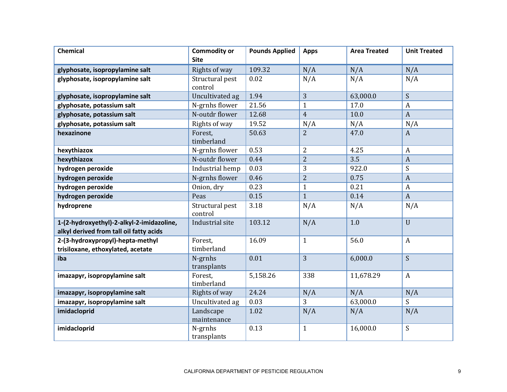| <b>Chemical</b>                                                                      | <b>Commodity or</b><br><b>Site</b> | <b>Pounds Applied</b> | <b>Apps</b>    | <b>Area Treated</b> | <b>Unit Treated</b> |
|--------------------------------------------------------------------------------------|------------------------------------|-----------------------|----------------|---------------------|---------------------|
| glyphosate, isopropylamine salt                                                      | Rights of way                      | 109.32                | N/A            | N/A                 | N/A                 |
| glyphosate, isopropylamine salt                                                      | Structural pest<br>control         | 0.02                  | N/A            | N/A                 | N/A                 |
| glyphosate, isopropylamine salt                                                      | Uncultivated ag                    | 1.94                  | 3              | 63,000.0            | S                   |
| glyphosate, potassium salt                                                           | N-grnhs flower                     | 21.56                 | $\mathbf{1}$   | 17.0                | $\mathbf{A}$        |
| glyphosate, potassium salt                                                           | N-outdr flower                     | 12.68                 | $\overline{4}$ | 10.0                | $\boldsymbol{A}$    |
| glyphosate, potassium salt                                                           | Rights of way                      | 19.52                 | N/A            | N/A                 | N/A                 |
| hexazinone                                                                           | Forest,<br>timberland              | 50.63                 | $\overline{2}$ | 47.0                | $\boldsymbol{A}$    |
| hexythiazox                                                                          | N-grnhs flower                     | 0.53                  | $\overline{2}$ | 4.25                | $\boldsymbol{A}$    |
| hexythiazox                                                                          | N-outdr flower                     | 0.44                  | $\overline{2}$ | 3.5                 | $\overline{A}$      |
| hydrogen peroxide                                                                    | Industrial hemp                    | 0.03                  | 3              | 922.0               | S                   |
| hydrogen peroxide                                                                    | N-grnhs flower                     | 0.46                  | $\overline{2}$ | 0.75                | $\boldsymbol{A}$    |
| hydrogen peroxide                                                                    | Onion, dry                         | 0.23                  | $\mathbf{1}$   | 0.21                | $\boldsymbol{A}$    |
| hydrogen peroxide                                                                    | Peas                               | 0.15                  | $\mathbf{1}$   | 0.14                | $\boldsymbol{A}$    |
| hydroprene                                                                           | Structural pest<br>control         | 3.18                  | N/A            | N/A                 | N/A                 |
| 1-(2-hydroxyethyl)-2-alkyl-2-imidazoline,<br>alkyl derived from tall oil fatty acids | Industrial site                    | 103.12                | N/A            | 1.0                 | $\overline{U}$      |
| 2-(3-hydroxypropyl)-hepta-methyl<br>trisiloxane, ethoxylated, acetate                | Forest,<br>timberland              | 16.09                 | $\mathbf{1}$   | 56.0                | $\mathbf{A}$        |
| iba                                                                                  | N-grnhs<br>transplants             | 0.01                  | 3              | 6,000.0             | S                   |
| imazapyr, isopropylamine salt                                                        | Forest,<br>timberland              | 5,158.26              | 338            | 11,678.29           | $\boldsymbol{A}$    |
| imazapyr, isopropylamine salt                                                        | Rights of way                      | 24.24                 | N/A            | N/A                 | N/A                 |
| imazapyr, isopropylamine salt                                                        | Uncultivated ag                    | 0.03                  | 3              | 63,000.0            | S                   |
| imidacloprid                                                                         | Landscape<br>maintenance           | 1.02                  | N/A            | N/A                 | N/A                 |
| imidacloprid                                                                         | N-grnhs<br>transplants             | 0.13                  | $\mathbf{1}$   | 16,000.0            | ${\mathsf S}$       |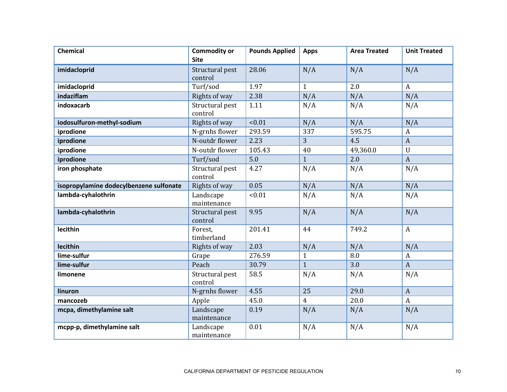| <b>Chemical</b>                         | <b>Commodity or</b><br><b>Site</b> | <b>Pounds Applied</b> | <b>Apps</b>    | <b>Area Treated</b> | <b>Unit Treated</b> |
|-----------------------------------------|------------------------------------|-----------------------|----------------|---------------------|---------------------|
| imidacloprid                            | Structural pest<br>control         | 28.06                 | N/A            | N/A                 | N/A                 |
| imidacloprid                            | Turf/sod                           | 1.97                  | $\mathbf{1}$   | 2.0                 | $\boldsymbol{A}$    |
| indaziflam                              | Rights of way                      | 2.38                  | N/A            | N/A                 | N/A                 |
| indoxacarb                              | Structural pest<br>control         | 1.11                  | N/A            | N/A                 | N/A                 |
| iodosulfuron-methyl-sodium              | Rights of way                      | 10.01                 | N/A            | N/A                 | N/A                 |
| iprodione                               | N-grnhs flower                     | 293.59                | 337            | 595.75              | $\boldsymbol{A}$    |
| iprodione                               | N-outdr flower                     | 2.23                  | 3              | 4.5                 | $\mathbf{A}$        |
| iprodione                               | N-outdr flower                     | 105.43                | 40             | 49,360.0            | $\mathbf U$         |
| iprodione                               | Turf/sod                           | 5.0                   | $\mathbf{1}$   | 2.0                 | $\overline{A}$      |
| iron phosphate                          | Structural pest<br>control         | 4.27                  | N/A            | N/A                 | N/A                 |
| isopropylamine dodecylbenzene sulfonate | Rights of way                      | 0.05                  | N/A            | N/A                 | N/A                 |
| lambda-cyhalothrin                      | Landscape<br>maintenance           | < 0.01                | N/A            | N/A                 | N/A                 |
| lambda-cyhalothrin                      | Structural pest<br>control         | 9.95                  | N/A            | N/A                 | N/A                 |
| lecithin                                | Forest.<br>timberland              | 201.41                | 44             | 749.2               | $\mathbf{A}$        |
| lecithin                                | Rights of way                      | 2.03                  | N/A            | N/A                 | N/A                 |
| lime-sulfur                             | Grape                              | 276.59                | $\mathbf{1}$   | 8.0                 | $\boldsymbol{A}$    |
| lime-sulfur                             | Peach                              | 30.79                 | $\mathbf{1}$   | 3.0                 | $\overline{A}$      |
| limonene                                | Structural pest<br>control         | 58.5                  | N/A            | N/A                 | N/A                 |
| linuron                                 | N-grnhs flower                     | 4.55                  | 25             | 29.0                | $\mathbf{A}$        |
| mancozeb                                | Apple                              | 45.0                  | $\overline{4}$ | 20.0                | $\mathbf{A}$        |
| mcpa, dimethylamine salt                | Landscape<br>maintenance           | 0.19                  | N/A            | N/A                 | N/A                 |
| mcpp-p, dimethylamine salt              | Landscape<br>maintenance           | 0.01                  | N/A            | N/A                 | N/A                 |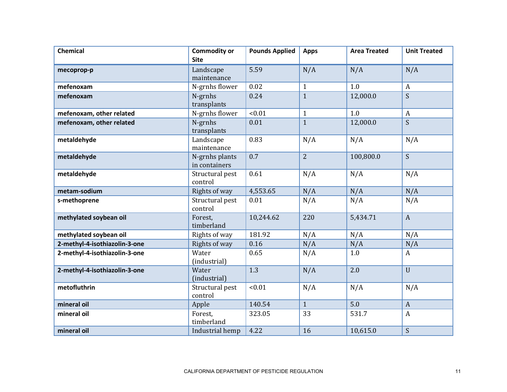| <b>Chemical</b>               | <b>Commodity or</b>             | <b>Pounds Applied</b> | <b>Apps</b>    | <b>Area Treated</b> | <b>Unit Treated</b> |
|-------------------------------|---------------------------------|-----------------------|----------------|---------------------|---------------------|
|                               | <b>Site</b>                     |                       |                |                     |                     |
| mecoprop-p                    | Landscape                       | 5.59                  | N/A            | N/A                 | N/A                 |
|                               | maintenance                     |                       |                |                     |                     |
| mefenoxam                     | N-grnhs flower                  | 0.02                  | $\mathbf{1}$   | 1.0                 | $\boldsymbol{A}$    |
| mefenoxam                     | N-grnhs                         | 0.24                  | $\mathbf{1}$   | 12,000.0            | S                   |
|                               | transplants                     |                       |                |                     |                     |
| mefenoxam, other related      | N-grnhs flower                  | < 0.01                | $\mathbf{1}$   | 1.0                 | $\boldsymbol{A}$    |
| mefenoxam, other related      | N-grnhs<br>transplants          | 0.01                  | $\mathbf{1}$   | 12,000.0            | S                   |
| metaldehyde                   | Landscape<br>maintenance        | 0.83                  | N/A            | N/A                 | N/A                 |
| metaldehyde                   | N-grnhs plants<br>in containers | 0.7                   | $\overline{2}$ | 100,800.0           | S                   |
| metaldehyde                   | Structural pest<br>control      | 0.61                  | N/A            | N/A                 | N/A                 |
| metam-sodium                  | Rights of way                   | 4,553.65              | N/A            | N/A                 | N/A                 |
| s-methoprene                  | Structural pest                 | 0.01                  | N/A            | N/A                 | N/A                 |
|                               | control                         |                       |                |                     |                     |
| methylated soybean oil        | Forest,<br>timberland           | 10,244.62             | 220            | 5,434.71            | $\mathbf{A}$        |
| methylated soybean oil        | Rights of way                   | 181.92                | N/A            | N/A                 | N/A                 |
| 2-methyl-4-isothiazolin-3-one | Rights of way                   | 0.16                  | N/A            | N/A                 | N/A                 |
| 2-methyl-4-isothiazolin-3-one | Water<br>(industrial)           | 0.65                  | N/A            | 1.0                 | $\mathbf{A}$        |
| 2-methyl-4-isothiazolin-3-one | Water<br>(industrial)           | 1.3                   | N/A            | 2.0                 | $\mathbf U$         |
| metofluthrin                  | Structural pest<br>control      | < 0.01                | N/A            | N/A                 | N/A                 |
| mineral oil                   | Apple                           | 140.54                | $\mathbf{1}$   | 5.0                 | $\overline{A}$      |
| mineral oil                   | Forest,<br>timberland           | 323.05                | 33             | 531.7               | $\mathbf{A}$        |
| mineral oil                   | Industrial hemp                 | 4.22                  | 16             | 10,615.0            | S                   |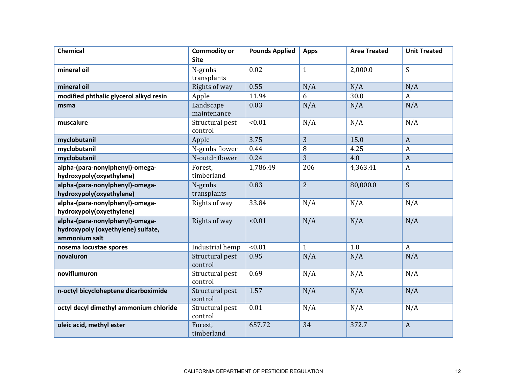| <b>Chemical</b>                                                                        | <b>Commodity or</b><br><b>Site</b> | <b>Pounds Applied</b> | <b>Apps</b>    | <b>Area Treated</b> | <b>Unit Treated</b>       |
|----------------------------------------------------------------------------------------|------------------------------------|-----------------------|----------------|---------------------|---------------------------|
| mineral oil                                                                            | N-grnhs<br>transplants             | 0.02                  | $\mathbf{1}$   | 2,000.0             | S                         |
| mineral oil                                                                            | Rights of way                      | 0.55                  | N/A            | N/A                 | N/A                       |
| modified phthalic glycerol alkyd resin                                                 | Apple                              | 11.94                 | 6              | 30.0                | $\boldsymbol{A}$          |
| msma                                                                                   | Landscape<br>maintenance           | 0.03                  | N/A            | N/A                 | N/A                       |
| muscalure                                                                              | Structural pest<br>control         | < 0.01                | N/A            | N/A                 | N/A                       |
| myclobutanil                                                                           | Apple                              | 3.75                  | 3              | 15.0                | $\boldsymbol{A}$          |
| myclobutanil                                                                           | N-grnhs flower                     | 0.44                  | 8              | 4.25                | $\boldsymbol{A}$          |
| myclobutanil                                                                           | N-outdr flower                     | 0.24                  | 3              | 4.0                 | $\overline{A}$            |
| alpha-(para-nonylphenyl)-omega-<br>hydroxypoly(oxyethylene)                            | Forest.<br>timberland              | 1,786.49              | 206            | 4,363.41            | $\boldsymbol{A}$          |
| alpha-(para-nonylphenyl)-omega-<br>hydroxypoly(oxyethylene)                            | N-grnhs<br>transplants             | 0.83                  | $\overline{2}$ | 80,000.0            | S                         |
| alpha-(para-nonylphenyl)-omega-<br>hydroxypoly(oxyethylene)                            | Rights of way                      | 33.84                 | N/A            | N/A                 | N/A                       |
| alpha-(para-nonylphenyl)-omega-<br>hydroxypoly (oxyethylene) sulfate,<br>ammonium salt | Rights of way                      | < 0.01                | N/A            | N/A                 | N/A                       |
| nosema locustae spores                                                                 | Industrial hemp                    | < 0.01                | $\mathbf{1}$   | 1.0                 | $\boldsymbol{\mathsf{A}}$ |
| novaluron                                                                              | Structural pest<br>control         | 0.95                  | N/A            | N/A                 | N/A                       |
| noviflumuron                                                                           | Structural pest<br>control         | 0.69                  | N/A            | N/A                 | N/A                       |
| n-octyl bicycloheptene dicarboximide                                                   | Structural pest<br>control         | 1.57                  | N/A            | N/A                 | N/A                       |
| octyl decyl dimethyl ammonium chloride                                                 | Structural pest<br>control         | 0.01                  | N/A            | N/A                 | N/A                       |
| oleic acid, methyl ester                                                               | Forest,<br>timberland              | 657.72                | 34             | 372.7               | $\boldsymbol{A}$          |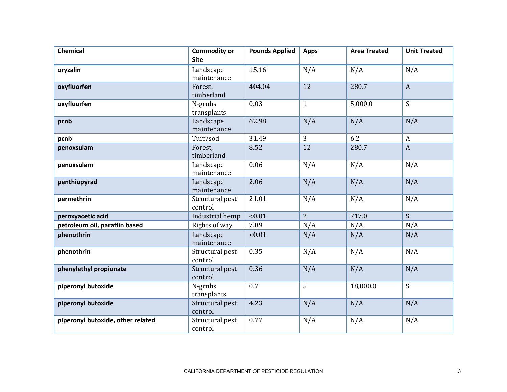| <b>Chemical</b>                   | <b>Commodity or</b><br><b>Site</b> | <b>Pounds Applied</b> | <b>Apps</b>    | <b>Area Treated</b> | <b>Unit Treated</b> |
|-----------------------------------|------------------------------------|-----------------------|----------------|---------------------|---------------------|
| oryzalin                          | Landscape<br>maintenance           | 15.16                 | N/A            | N/A                 | N/A                 |
| oxyfluorfen                       | Forest,<br>timberland              | 404.04                | 12             | 280.7               | $\mathbf{A}$        |
| oxyfluorfen                       | N-grnhs<br>transplants             | 0.03                  | $\mathbf{1}$   | 5,000.0             | S                   |
| pcnb                              | Landscape<br>maintenance           | 62.98                 | N/A            | N/A                 | N/A                 |
| pcnb                              | Turf/sod                           | 31.49                 | 3              | 6.2                 | $\boldsymbol{A}$    |
| penoxsulam                        | Forest,<br>timberland              | 8.52                  | 12             | 280.7               | $\overline{A}$      |
| penoxsulam                        | Landscape<br>maintenance           | 0.06                  | N/A            | N/A                 | N/A                 |
| penthiopyrad                      | Landscape<br>maintenance           | 2.06                  | N/A            | N/A                 | N/A                 |
| permethrin                        | Structural pest<br>control         | 21.01                 | N/A            | N/A                 | N/A                 |
| peroxyacetic acid                 | Industrial hemp                    | < 0.01                | $\overline{2}$ | 717.0               | S                   |
| petroleum oil, paraffin based     | Rights of way                      | 7.89                  | N/A            | N/A                 | N/A                 |
| phenothrin                        | Landscape<br>maintenance           | < 0.01                | N/A            | N/A                 | N/A                 |
| phenothrin                        | Structural pest<br>control         | 0.35                  | N/A            | N/A                 | N/A                 |
| phenylethyl propionate            | Structural pest<br>control         | 0.36                  | N/A            | N/A                 | N/A                 |
| piperonyl butoxide                | N-grnhs<br>transplants             | 0.7                   | 5              | 18,000.0            | S                   |
| piperonyl butoxide                | Structural pest<br>control         | 4.23                  | N/A            | N/A                 | N/A                 |
| piperonyl butoxide, other related | Structural pest<br>control         | 0.77                  | N/A            | N/A                 | N/A                 |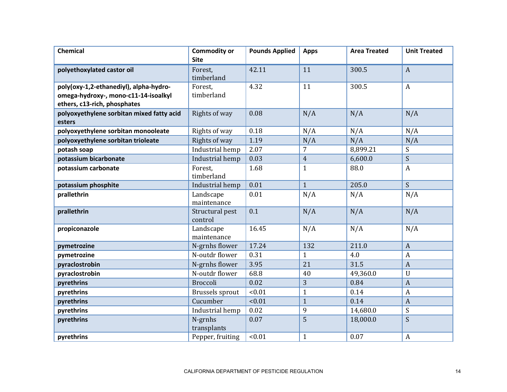| <b>Chemical</b>                                                                                                | <b>Commodity or</b><br><b>Site</b> | <b>Pounds Applied</b> | <b>Apps</b>    | <b>Area Treated</b> | <b>Unit Treated</b> |
|----------------------------------------------------------------------------------------------------------------|------------------------------------|-----------------------|----------------|---------------------|---------------------|
| polyethoxylated castor oil                                                                                     | Forest,<br>timberland              | 42.11                 | 11             | 300.5               | $\boldsymbol{A}$    |
| poly(oxy-1,2-ethanediyl), alpha-hydro-<br>omega-hydroxy-, mono-c11-14-isoalkyl<br>ethers, c13-rich, phosphates | Forest,<br>timberland              | 4.32                  | 11             | 300.5               | $\boldsymbol{A}$    |
| polyoxyethylene sorbitan mixed fatty acid<br>esters                                                            | Rights of way                      | 0.08                  | N/A            | N/A                 | N/A                 |
| polyoxyethylene sorbitan monooleate                                                                            | Rights of way                      | 0.18                  | N/A            | N/A                 | N/A                 |
| polyoxyethylene sorbitan trioleate                                                                             | Rights of way                      | 1.19                  | N/A            | N/A                 | N/A                 |
| potash soap                                                                                                    | Industrial hemp                    | 2.07                  | $\overline{7}$ | 8,899.21            | S                   |
| potassium bicarbonate                                                                                          | Industrial hemp                    | 0.03                  | $\overline{4}$ | 6,600.0             | S                   |
| potassium carbonate                                                                                            | Forest,<br>timberland              | 1.68                  | $\mathbf{1}$   | 88.0                | $\mathbf{A}$        |
| potassium phosphite                                                                                            | Industrial hemp                    | 0.01                  | $\mathbf{1}$   | 205.0               | $\overline{S}$      |
| prallethrin                                                                                                    | Landscape<br>maintenance           | 0.01                  | N/A            | N/A                 | N/A                 |
| prallethrin                                                                                                    | Structural pest<br>control         | 0.1                   | N/A            | N/A                 | N/A                 |
| propiconazole                                                                                                  | Landscape<br>maintenance           | 16.45                 | N/A            | N/A                 | N/A                 |
| pymetrozine                                                                                                    | N-grnhs flower                     | 17.24                 | 132            | 211.0               | $\boldsymbol{A}$    |
| pymetrozine                                                                                                    | N-outdr flower                     | 0.31                  | $\mathbf{1}$   | 4.0                 | A                   |
| pyraclostrobin                                                                                                 | N-grnhs flower                     | 3.95                  | 21             | 31.5                | $\overline{A}$      |
| pyraclostrobin                                                                                                 | N-outdr flower                     | 68.8                  | 40             | 49,360.0            | $\mathbf U$         |
| pyrethrins                                                                                                     | <b>Broccoli</b>                    | 0.02                  | 3              | 0.84                | $\boldsymbol{A}$    |
| pyrethrins                                                                                                     | Brussels sprout                    | < 0.01                | $\mathbf{1}$   | 0.14                | $\boldsymbol{A}$    |
| pyrethrins                                                                                                     | Cucumber                           | < 0.01                | $\mathbf{1}$   | 0.14                | $\boldsymbol{A}$    |
| pyrethrins                                                                                                     | Industrial hemp                    | 0.02                  | 9              | 14,680.0            | S                   |
| pyrethrins                                                                                                     | N-grnhs<br>transplants             | 0.07                  | 5              | 18,000.0            | S                   |
| pyrethrins                                                                                                     | Pepper, fruiting                   | < 0.01                | $\mathbf{1}$   | 0.07                | $\boldsymbol{A}$    |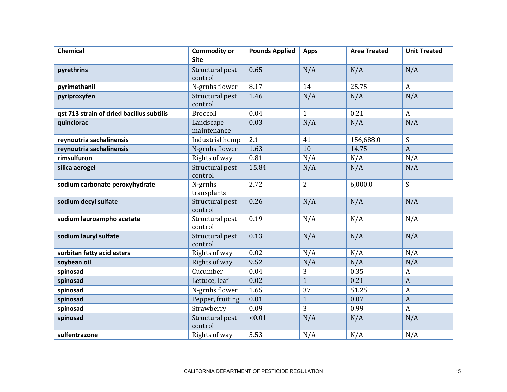| <b>Chemical</b>                           | <b>Commodity or</b><br><b>Site</b> | <b>Pounds Applied</b> | <b>Apps</b>    | <b>Area Treated</b> | <b>Unit Treated</b> |
|-------------------------------------------|------------------------------------|-----------------------|----------------|---------------------|---------------------|
| pyrethrins                                | Structural pest<br>control         | 0.65                  | N/A            | N/A                 | N/A                 |
| pyrimethanil                              | N-grnhs flower                     | 8.17                  | 14             | 25.75               | $\mathbf{A}$        |
| pyriproxyfen                              | Structural pest<br>control         | 1.46                  | N/A            | N/A                 | N/A                 |
| qst 713 strain of dried bacillus subtilis | <b>Broccoli</b>                    | 0.04                  | $\mathbf{1}$   | 0.21                | $\mathbf{A}$        |
| quinclorac                                | Landscape<br>maintenance           | 0.03                  | N/A            | N/A                 | N/A                 |
| reynoutria sachalinensis                  | Industrial hemp                    | 2.1                   | 41             | 156,688.0           | S                   |
| reynoutria sachalinensis                  | N-grnhs flower                     | 1.63                  | 10             | 14.75               | $\overline{A}$      |
| rimsulfuron                               | Rights of way                      | 0.81                  | N/A            | N/A                 | N/A                 |
| silica aerogel                            | Structural pest<br>control         | 15.84                 | N/A            | N/A                 | N/A                 |
| sodium carbonate peroxyhydrate            | N-grnhs<br>transplants             | 2.72                  | $\overline{2}$ | 6,000.0             | S                   |
| sodium decyl sulfate                      | Structural pest<br>control         | 0.26                  | N/A            | N/A                 | N/A                 |
| sodium lauroampho acetate                 | Structural pest<br>control         | 0.19                  | N/A            | N/A                 | N/A                 |
| sodium lauryl sulfate                     | Structural pest<br>control         | 0.13                  | N/A            | N/A                 | N/A                 |
| sorbitan fatty acid esters                | Rights of way                      | 0.02                  | N/A            | N/A                 | N/A                 |
| soybean oil                               | Rights of way                      | 9.52                  | N/A            | N/A                 | N/A                 |
| spinosad                                  | Cucumber                           | 0.04                  | 3              | 0.35                | $\boldsymbol{A}$    |
| spinosad                                  | Lettuce, leaf                      | 0.02                  | $\overline{1}$ | 0.21                | $\boldsymbol{A}$    |
| spinosad                                  | N-grnhs flower                     | 1.65                  | 37             | 51.25               | $\mathbf{A}$        |
| spinosad                                  | Pepper, fruiting                   | 0.01                  | $\mathbf{1}$   | 0.07                | $\boldsymbol{A}$    |
| spinosad                                  | Strawberry                         | 0.09                  | 3              | 0.99                | $\mathbf{A}$        |
| spinosad                                  | Structural pest<br>control         | < 0.01                | N/A            | N/A                 | N/A                 |
| sulfentrazone                             | Rights of way                      | 5.53                  | N/A            | N/A                 | N/A                 |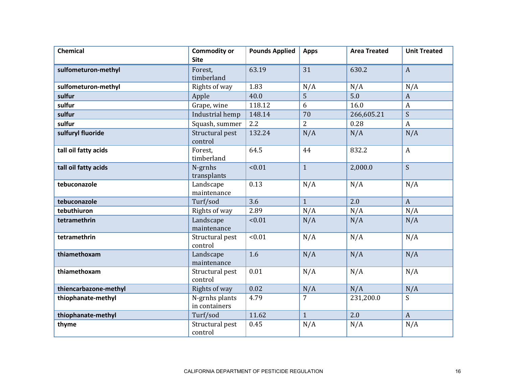| <b>Chemical</b>       | <b>Commodity or</b><br><b>Site</b> | <b>Pounds Applied</b> | <b>Apps</b>    | <b>Area Treated</b> | <b>Unit Treated</b> |
|-----------------------|------------------------------------|-----------------------|----------------|---------------------|---------------------|
| sulfometuron-methyl   | Forest,<br>timberland              | 63.19                 | 31             | 630.2               | $\overline{A}$      |
| sulfometuron-methyl   | Rights of way                      | 1.83                  | N/A            | N/A                 | N/A                 |
| sulfur                | Apple                              | 40.0                  | 5              | 5.0                 | $\overline{A}$      |
| sulfur                | Grape, wine                        | 118.12                | 6              | 16.0                | $\boldsymbol{A}$    |
| sulfur                | Industrial hemp                    | 148.14                | 70             | 266,605.21          | S                   |
| sulfur                | Squash, summer                     | 2.2                   | $\overline{2}$ | 0.28                | $\boldsymbol{A}$    |
| sulfuryl fluoride     | Structural pest<br>control         | 132.24                | N/A            | N/A                 | N/A                 |
| tall oil fatty acids  | Forest.<br>timberland              | 64.5                  | 44             | 832.2               | $\mathbf{A}$        |
| tall oil fatty acids  | N-grnhs<br>transplants             | < 0.01                | $\mathbf{1}$   | 2,000.0             | S                   |
| tebuconazole          | Landscape<br>maintenance           | 0.13                  | N/A            | N/A                 | N/A                 |
| tebuconazole          | Turf/sod                           | 3.6                   | $\mathbf{1}$   | 2.0                 | $\mathbf{A}$        |
| tebuthiuron           | Rights of way                      | 2.89                  | N/A            | N/A                 | N/A                 |
| tetramethrin          | Landscape<br>maintenance           | < 0.01                | N/A            | N/A                 | N/A                 |
| tetramethrin          | Structural pest<br>control         | < 0.01                | N/A            | N/A                 | N/A                 |
| thiamethoxam          | Landscape<br>maintenance           | 1.6                   | N/A            | N/A                 | N/A                 |
| thiamethoxam          | Structural pest<br>control         | 0.01                  | N/A            | N/A                 | N/A                 |
| thiencarbazone-methyl | Rights of way                      | 0.02                  | N/A            | N/A                 | N/A                 |
| thiophanate-methyl    | N-grnhs plants<br>in containers    | 4.79                  | 7              | 231,200.0           | S                   |
| thiophanate-methyl    | Turf/sod                           | 11.62                 | $\mathbf{1}$   | 2.0                 | $\overline{A}$      |
| thyme                 | Structural pest<br>control         | 0.45                  | N/A            | N/A                 | N/A                 |